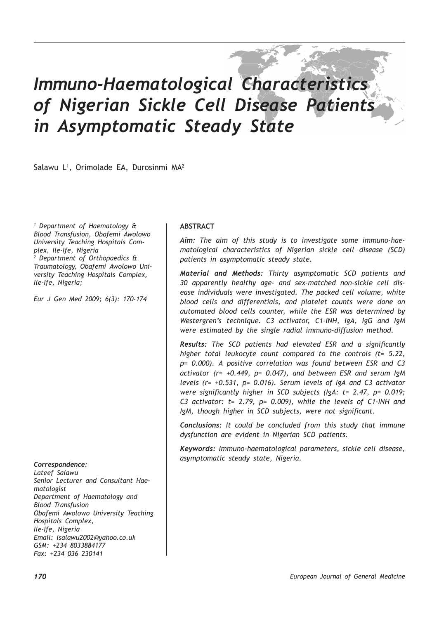# *Immuno-Haematological Characteristics of Nigerian Sickle Cell Disease Patients in Asymptomatic Steady State*

Salawu L1 , Orimolade EA, Durosinmi MA2

*1 Department of Haematology & Blood Transfusion, Obafemi Awolowo University Teaching Hospitals Complex, Ile-Ife, Nigeria 2 Department of Orthopaedics & Traumatology, Obafemi Awolowo University Teaching Hospitals Complex, Ile-Ife, Nigeria;*

*Eur J Gen Med 2009; 6(3): 170-174*

#### *Correspondence:*

*Lateef Salawu Senior Lecturer and Consultant Haematologist Department of Haematology and Blood Transfusion Obafemi Awolowo University Teaching Hospitals Complex, Ile-Ife, Nigeria Email: lsalawu2002@yahoo.co.uk GSM: +234 8033884177 Fax: +234 036 230141*

### **ABSTRACT**

*Aim: The aim of this study is to investigate some immuno-haematological characteristics of Nigerian sickle cell disease (SCD) patients in asymptomatic steady state.*

*Material and Methods: Thirty asymptomatic SCD patients and 30 apparently healthy age- and sex-matched non-sickle cell disease individuals were investigated. The packed cell volume, white blood cells and differentials, and platelet counts were done on automated blood cells counter, while the ESR was determined by Westergren's technique. C3 activator, C1-INH, IgA, IgG and IgM were estimated by the single radial immuno-diffusion method.* 

*Results: The SCD patients had elevated ESR and a significantly higher total leukocyte count compared to the controls (t= 5.22, p= 0.000). A positive correlation was found between ESR and C3 activator (r= +0.449, p= 0.047), and between ESR and serum IgM levels (r= +0.531, p= 0.016). Serum levels of IgA and C3 activator were significantly higher in SCD subjects (IgA: t= 2.47, p= 0.019; C3 activator: t= 2.79, p= 0.009), while the levels of C1-INH and IgM, though higher in SCD subjects, were not significant.* 

*Conclusions: It could be concluded from this study that immune dysfunction are evident in Nigerian SCD patients.* 

*Keywords: Immuno-haematological parameters, sickle cell disease, asymptomatic steady state, Nigeria.*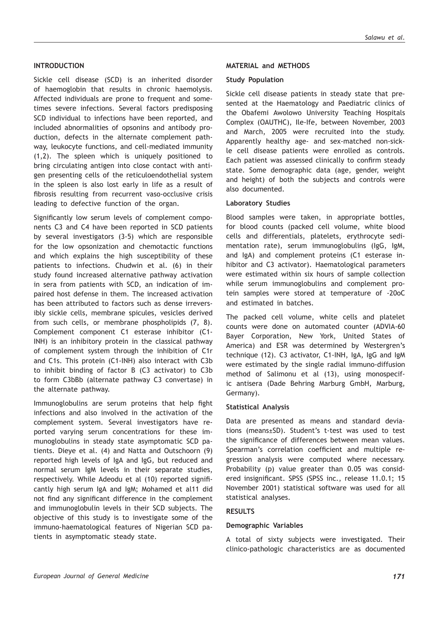#### **INTRODUCTION**

Sickle cell disease (SCD) is an inherited disorder of haemoglobin that results in chronic haemolysis. Affected individuals are prone to frequent and sometimes severe infections. Several factors predisposing SCD individual to infections have been reported, and included abnormalities of opsonins and antibody production, defects in the alternate complement pathway, leukocyte functions, and cell-mediated immunity (1,2). The spleen which is uniquely positioned to bring circulating antigen into close contact with antigen presenting cells of the reticuloendothelial system in the spleen is also lost early in life as a result of fibrosis resulting from recurrent vaso-occlusive crisis leading to defective function of the organ.

Significantly low serum levels of complement components C3 and C4 have been reported in SCD patients by several investigators (3-5) which are responsible for the low opsonization and chemotactic functions and which explains the high susceptibility of these patients to infections. Chudwin et al. (6) in their study found increased alternative pathway activation in sera from patients with SCD, an indication of impaired host defense in them. The increased activation has been attributed to factors such as dense irreversibly sickle cells, membrane spicules, vesicles derived from such cells, or membrane phospholipids (7, 8). Complement component C1 esterase inhibitor (C1- INH) is an inhibitory protein in the classical pathway of complement system through the inhibition of C1r and C1s. This protein (C1-INH) also interact with C3b to inhibit binding of factor B (C3 activator) to C3b to form C3bBb (alternate pathway C3 convertase) in the alternate pathway.

Immunoglobulins are serum proteins that help fight infections and also involved in the activation of the complement system. Several investigators have reported varying serum concentrations for these immunoglobulins in steady state asymptomatic SCD patients. Dieye et al. (4) and Natta and Outschoorn (9) reported high levels of IgA and IgG, but reduced and normal serum IgM levels in their separate studies, respectively. While Adeodu et al (10) reported significantly high serum IgA and IgM; Mohamed et al11 did not find any significant difference in the complement and immunoglobulin levels in their SCD subjects. The objective of this study is to investigate some of the immuno-haematological features of Nigerian SCD patients in asymptomatic steady state.

#### **MATERIAL and METHODS**

#### **Study Population**

Sickle cell disease patients in steady state that presented at the Haematology and Paediatric clinics of the Obafemi Awolowo University Teaching Hospitals Complex (OAUTHC), Ile-Ife, between November, 2003 and March, 2005 were recruited into the study. Apparently healthy age- and sex-matched non-sickle cell disease patients were enrolled as controls. Each patient was assessed clinically to confirm steady state. Some demographic data (age, gender, weight and height) of both the subjects and controls were also documented.

#### **Laboratory Studies**

Blood samples were taken, in appropriate bottles, for blood counts (packed cell volume, white blood cells and differentials, platelets, erythrocyte sedimentation rate), serum immunoglobulins (IgG, IgM, and IgA) and complement proteins (C1 esterase inhibitor and C3 activator). Haematological parameters were estimated within six hours of sample collection while serum immunoglobulins and complement protein samples were stored at temperature of -20oC and estimated in batches.

The packed cell volume, white cells and platelet counts were done on automated counter (ADVIA-60 Bayer Corporation, New York, United States of America) and ESR was determined by Westergren's technique (12). C3 activator, C1-INH, IgA, IgG and IgM were estimated by the single radial immuno-diffusion method of Salimonu et al (13), using monospecific antisera (Dade Behring Marburg GmbH, Marburg, Germany).

#### **Statistical Analysis**

Data are presented as means and standard deviations (means±SD). Student's t-test was used to test the significance of differences between mean values. Spearman's correlation coefficient and multiple regression analysis were computed where necessary. Probability (p) value greater than 0.05 was considered insignificant. SPSS (SPSS inc., release 11.0.1; 15 November 2001) statistical software was used for all statistical analyses.

#### **RESULTS**

#### **Demographic Variables**

A total of sixty subjects were investigated. Their clinico-pathologic characteristics are as documented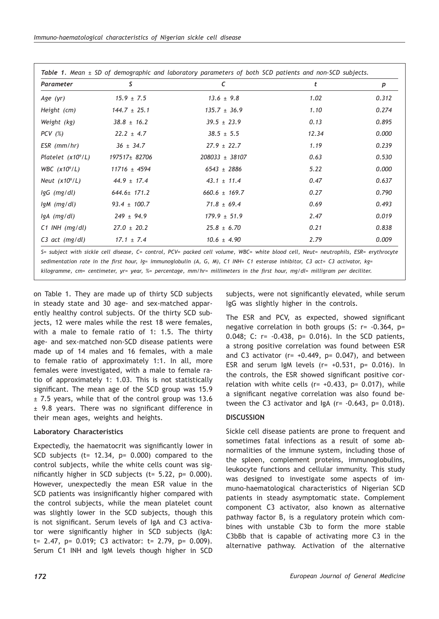| Parameter                | s                 | C                 | t     | р     |
|--------------------------|-------------------|-------------------|-------|-------|
| Age (yr)                 | $15.9 \pm 7.5$    | $13.6 \pm 9.8$    | 1.02  | 0.312 |
| Height (cm)              | $144.7 \pm 25.1$  | $135.7 \pm 36.9$  | 1.10  | 0.274 |
| Weight (kg)              | $38.8 \pm 16.2$   | $39.5 \pm 23.9$   | 0.13  | 0.895 |
| $PCV$ (%)                | $22.2 \pm 4.7$    | $38.5 \pm 5.5$    | 12.34 | 0.000 |
| $ESR$ (mm/hr)            | $36 \pm 34.7$     | $27.9 \pm 22.7$   | 1.19  | 0.239 |
| Platelet $(x10^\circ/L)$ | 197517± 82706     | 208033 ± 38107    | 0.63  | 0.530 |
| WBC $(x10^9/L)$          | $11716 \pm 4594$  | $6543 \pm 2886$   | 5.22  | 0.000 |
| Neut $(x10^9/L)$         | $44.9 \pm 17.4$   | $43.1 \pm 11.4$   | 0.47  | 0.637 |
| $lgG$ (mg/dl)            | $644.6 \pm 171.2$ | $660.6 \pm 169.7$ | 0.27  | 0.790 |
| lgM (mg/dl)              | $93.4 \pm 100.7$  | $71.8 \pm 69.4$   | 0.69  | 0.493 |
| $lgA$ (mg/dl)            | $249 \pm 94.9$    | $179.9 \pm 51.9$  | 2.47  | 0.019 |
| $C1$ INH (mg/dl)         | $27.0 \pm 20.2$   | $25.8 \pm 6.70$   | 0.21  | 0.838 |
| C3 act (mg/dl)           | $17.1 \pm 7.4$    | $10.6 \pm 4.90$   | 2.79  | 0.009 |

*kilogramme, cm= centimeter, yr= year, %= percentage, mm/hr= millimeters in the first hour, mg/dl= milligram per deciliter.*

on Table 1. They are made up of thirty SCD subjects in steady state and 30 age- and sex-matched apparently healthy control subjects. Of the thirty SCD subjects, 12 were males while the rest 18 were females, with a male to female ratio of 1: 1.5. The thirty age- and sex-matched non-SCD disease patients were made up of 14 males and 16 females, with a male to female ratio of approximately 1:1. In all, more females were investigated, with a male to female ratio of approximately 1: 1.03. This is not statistically significant. The mean age of the SCD group was 15.9 ± 7.5 years, while that of the control group was 13.6 ± 9.8 years. There was no significant difference in their mean ages, weights and heights.

## **Laboratory Characteristics**

Expectedly, the haematocrit was significantly lower in SCD subjects (t=  $12.34$ , p=  $0.000$ ) compared to the control subjects, while the white cells count was significantly higher in SCD subjects ( $t= 5.22$ ,  $p= 0.000$ ). However, unexpectedly the mean ESR value in the SCD patients was insignificantly higher compared with the control subjects, while the mean platelet count was slightly lower in the SCD subjects, though this is not significant. Serum levels of IgA and C3 activator were significantly higher in SCD subjects (IgA: t= 2.47, p= 0.019; C3 activator: t= 2.79, p= 0.009). Serum C1 INH and IgM levels though higher in SCD subjects, were not significantly elevated, while serum IgG was slightly higher in the controls.

The ESR and PCV, as expected, showed significant negative correlation in both groups (S: r= -0.364, p= 0.048; C: r= -0.438, p= 0.016). In the SCD patients, a strong positive correlation was found between ESR and C3 activator ( $r= +0.449$ ,  $p= 0.047$ ), and between ESR and serum IgM levels  $(r= +0.531, p= 0.016)$ . In the controls, the ESR showed significant positive correlation with white cells ( $r= +0.433$ ,  $p= 0.017$ ), while a significant negative correlation was also found between the C3 activator and  $IgA$  (r=  $-0.643$ , p= 0.018).

# **DISCUSSION**

Sickle cell disease patients are prone to frequent and sometimes fatal infections as a result of some abnormalities of the immune system, including those of the spleen, complement proteins, immunoglobulins, leukocyte functions and cellular immunity. This study was designed to investigate some aspects of immuno-haematological characteristics of Nigerian SCD patients in steady asymptomatic state. Complement component C3 activator, also known as alternative pathway factor B, is a regulatory protein which combines with unstable C3b to form the more stable C3bBb that is capable of activating more C3 in the alternative pathway. Activation of the alternative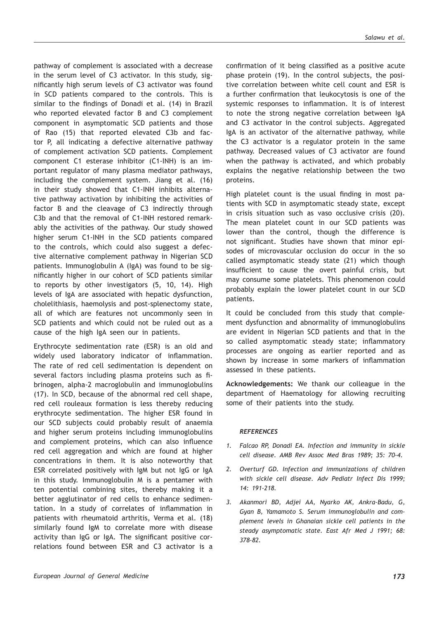pathway of complement is associated with a decrease in the serum level of C3 activator. In this study, significantly high serum levels of C3 activator was found in SCD patients compared to the controls. This is similar to the findings of Donadi et al. (14) in Brazil who reported elevated factor B and C3 complement component in asymptomatic SCD patients and those of Rao (15) that reported elevated C3b and factor P, all indicating a defective alternative pathway of complement activation SCD patients. Complement component C1 esterase inhibitor (C1-INH) is an important regulator of many plasma mediator pathways, including the complement system. Jiang et al. (16) in their study showed that C1-INH inhibits alternative pathway activation by inhibiting the activities of factor B and the cleavage of C3 indirectly through C3b and that the removal of C1-INH restored remarkably the activities of the pathway. Our study showed higher serum C1-INH in the SCD patients compared to the controls, which could also suggest a defective alternative complement pathway in Nigerian SCD patients. Immunoglobulin A (IgA) was found to be significantly higher in our cohort of SCD patients similar to reports by other investigators (5, 10, 14). High levels of IgA are associated with hepatic dysfunction, cholelithiasis, haemolysis and post-splenectomy state, all of which are features not uncommonly seen in SCD patients and which could not be ruled out as a cause of the high IgA seen our in patients.

Erythrocyte sedimentation rate (ESR) is an old and widely used laboratory indicator of inflammation. The rate of red cell sedimentation is dependent on several factors including plasma proteins such as fibrinogen, alpha-2 macroglobulin and immunoglobulins (17). In SCD, because of the abnormal red cell shape, red cell rouleaux formation is less thereby reducing erythrocyte sedimentation. The higher ESR found in our SCD subjects could probably result of anaemia and higher serum proteins including immunoglobulins and complement proteins, which can also influence red cell aggregation and which are found at higher concentrations in them. It is also noteworthy that ESR correlated positively with IgM but not IgG or IgA in this study. Immunoglobulin M is a pentamer with ten potential combining sites, thereby making it a better agglutinator of red cells to enhance sedimentation. In a study of correlates of inflammation in patients with rheumatoid arthritis, Verma et al. (18) similarly found IgM to correlate more with disease activity than IgG or IgA. The significant positive correlations found between ESR and C3 activator is a confirmation of it being classified as a positive acute phase protein (19). In the control subjects, the positive correlation between white cell count and ESR is a further confirmation that leukocytosis is one of the systemic responses to inflammation. It is of interest to note the strong negative correlation between IgA and C3 activator in the control subjects. Aggregated IgA is an activator of the alternative pathway, while the C3 activator is a regulator protein in the same pathway. Decreased values of C3 activator are found when the pathway is activated, and which probably explains the negative relationship between the two proteins.

High platelet count is the usual finding in most patients with SCD in asymptomatic steady state, except in crisis situation such as vaso occlusive crisis (20). The mean platelet count in our SCD patients was lower than the control, though the difference is not significant. Studies have shown that minor episodes of microvascular occlusion do occur in the so called asymptomatic steady state (21) which though insufficient to cause the overt painful crisis, but may consume some platelets. This phenomenon could probably explain the lower platelet count in our SCD patients.

It could be concluded from this study that complement dysfunction and abnormality of immunoglobulins are evident in Nigerian SCD patients and that in the so called asymptomatic steady state; inflammatory processes are ongoing as earlier reported and as shown by increase in some markers of inflammation assessed in these patients.

**Acknowledgements:** We thank our colleague in the department of Haematology for allowing recruiting some of their patients into the study.

#### *REFERENCES*

- *1. Falcao RP, Donadi EA. Infection and immunity in sickle cell disease. AMB Rev Assoc Med Bras 1989; 35: 70-4.*
- *2. Overturf GD. Infection and immunizations of children with sickle cell disease. Adv Pediatr Infect Dis 1999; 14: 191-218.*
- *3. Akanmori BD, Adjei AA, Nyarko AK, Ankra-Badu, G, Gyan B, Yamamoto S. Serum immunoglobulin and complement levels in Ghanaian sickle cell patients in the steady asymptomatic state. East Afr Med J 1991; 68: 378-82.*